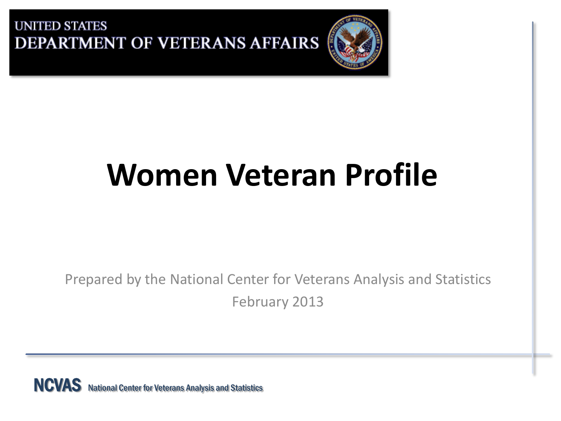

# **Women Veteran Profile**

Prepared by the National Center for Veterans Analysis and Statistics February 2013

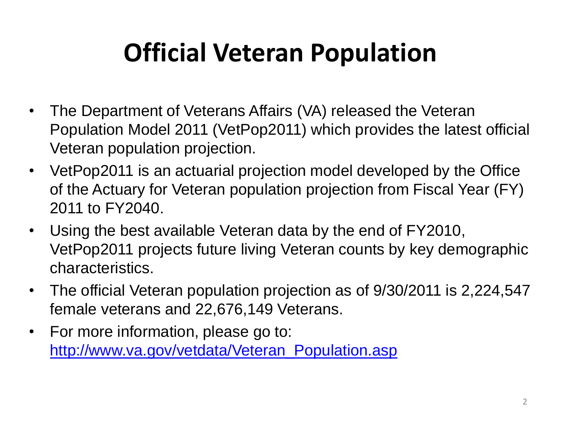## **Official Veteran Population**

- The Department of Veterans Affairs (VA) released the Veteran Population Model 2011 (VetPop2011) which provides the latest official Veteran population projection.
- VetPop2011 is an actuarial projection model developed by the Office of the Actuary for Veteran population projection from Fiscal Year (FY) 2011 to FY2040.
- Using the best available Veteran data by the end of FY2010, VetPop2011 projects future living Veteran counts by key demographic characteristics.
- The official Veteran population projection as of 9/30/2011 is 2,224,547 female veterans and 22,676,149 Veterans.
- For more information, please go to: [http://www.va.gov/vetdata/Veteran\\_Population.asp](http://www.va.gov/vetdata/Veteran_Population.asp)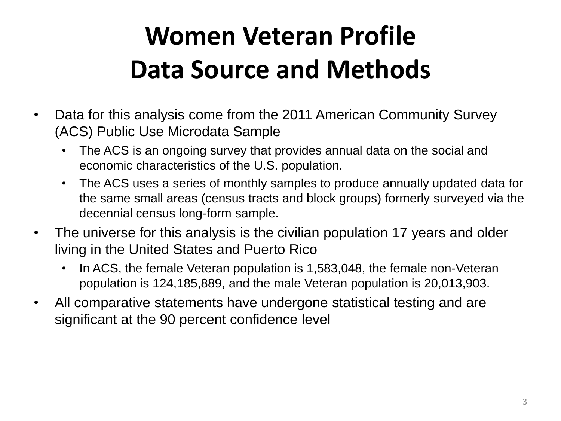## **Women Veteran Profile Data Source and Methods**

- Data for this analysis come from the 2011 American Community Survey (ACS) Public Use Microdata Sample
	- The ACS is an ongoing survey that provides annual data on the social and economic characteristics of the U.S. population.
	- The ACS uses a series of monthly samples to produce annually updated data for the same small areas (census tracts and block groups) formerly surveyed via the decennial census long-form sample.
- The universe for this analysis is the civilian population 17 years and older living in the United States and Puerto Rico
	- In ACS, the female Veteran population is 1,583,048, the female non-Veteran population is 124,185,889, and the male Veteran population is 20,013,903.
- All comparative statements have undergone statistical testing and are significant at the 90 percent confidence level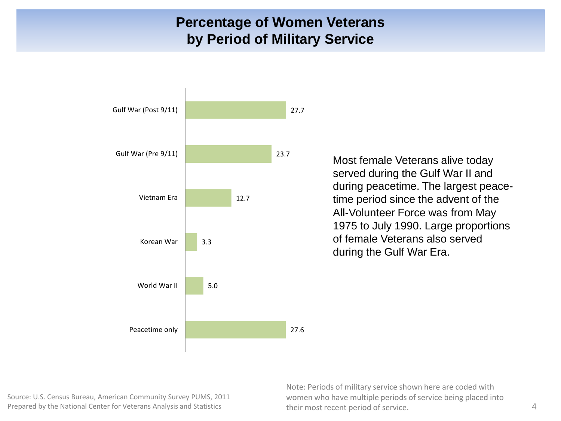#### **Percentage of Women Veterans by Period of Military Service**



Most female Veterans alive today served during the Gulf War II and during peacetime. The largest peacetime period since the advent of the All-Volunteer Force was from May 1975 to July 1990. Large proportions of female Veterans also served during the Gulf War Era.

Source: U.S. Census Bureau, American Community Survey PUMS, 2011 Prepared by the National Center for Veterans Analysis and Statistics 4

Note: Periods of military service shown here are coded with women who have multiple periods of service being placed into their most recent period of service.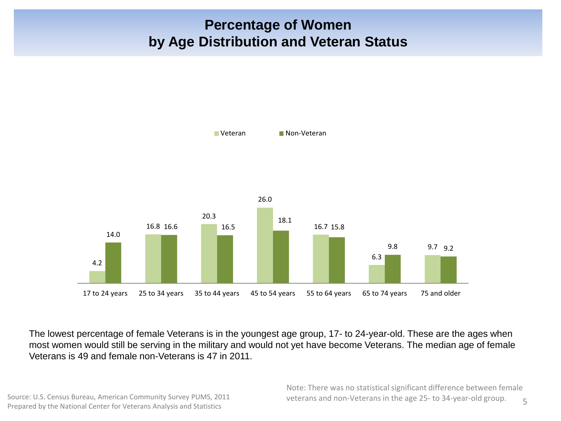#### **Percentage of Women by Age Distribution and Veteran Status**



The lowest percentage of female Veterans is in the youngest age group, 17- to 24-year-old. These are the ages when most women would still be serving in the military and would not yet have become Veterans. The median age of female Veterans is 49 and female non-Veterans is 47 in 2011.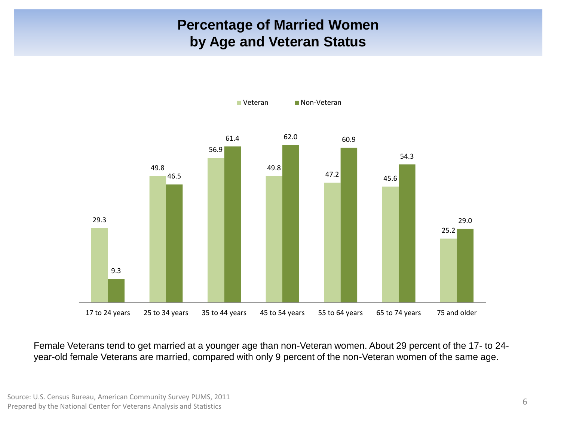### **Percentage of Married Women by Age and Veteran Status**



Female Veterans tend to get married at a younger age than non-Veteran women. About 29 percent of the 17- to 24 year-old female Veterans are married, compared with only 9 percent of the non-Veteran women of the same age.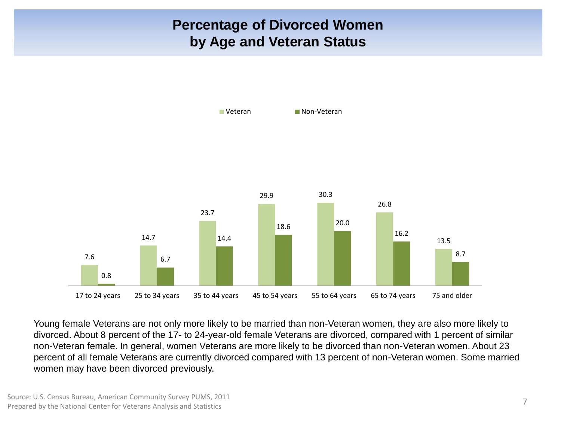### **Percentage of Divorced Women by Age and Veteran Status**



Young female Veterans are not only more likely to be married than non-Veteran women, they are also more likely to divorced. About 8 percent of the 17- to 24-year-old female Veterans are divorced, compared with 1 percent of similar non-Veteran female. In general, women Veterans are more likely to be divorced than non-Veteran women. About 23 percent of all female Veterans are currently divorced compared with 13 percent of non-Veteran women. Some married women may have been divorced previously.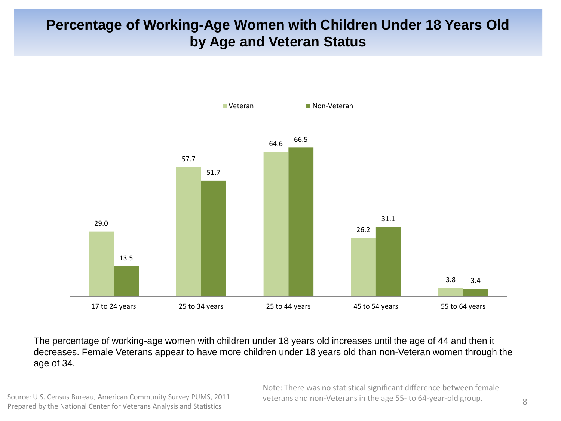### **Percentage of Working-Age Women with Children Under 18 Years Old by Age and Veteran Status**



The percentage of working-age women with children under 18 years old increases until the age of 44 and then it decreases. Female Veterans appear to have more children under 18 years old than non-Veteran women through the age of 34.

Source: U.S. Census Bureau, American Community Survey PUMS, 2011 Prepared by the National Center for Veterans Analysis and Statistics

Note: There was no statistical significant difference between female veterans and non-Veterans in the age 55- to 64-year-old group.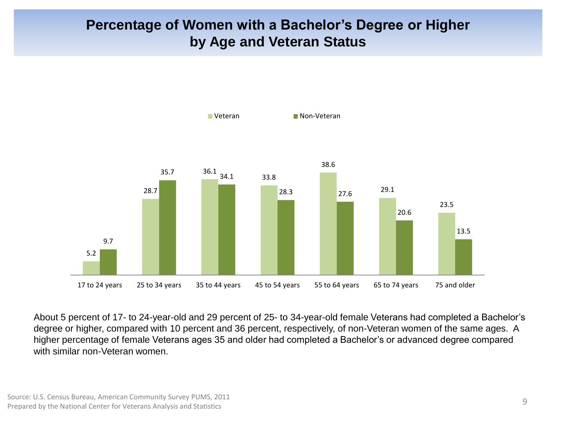#### **Percentage of Women with a Bachelor's Degree or Higher by Age and Veteran Status**



About 5 percent of 17- to 24-year-old and 29 percent of 25- to 34-year-old female Veterans had completed a Bachelor's degree or higher, compared with 10 percent and 36 percent, respectively, of non-Veteran women of the same ages. A higher percentage of female Veterans ages 35 and older had completed a Bachelor's or advanced degree compared with similar non-Veteran women.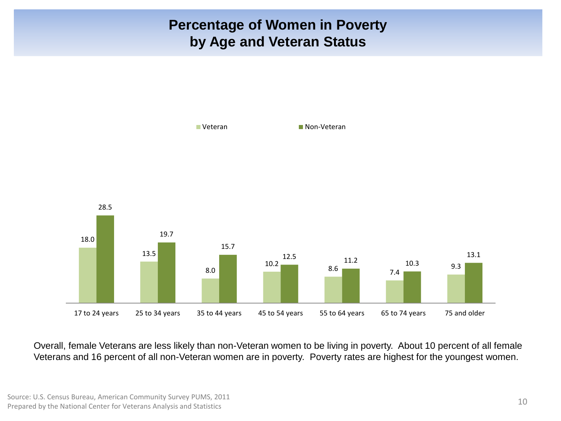### **Percentage of Women in Poverty by Age and Veteran Status**



Overall, female Veterans are less likely than non-Veteran women to be living in poverty. About 10 percent of all female Veterans and 16 percent of all non-Veteran women are in poverty. Poverty rates are highest for the youngest women.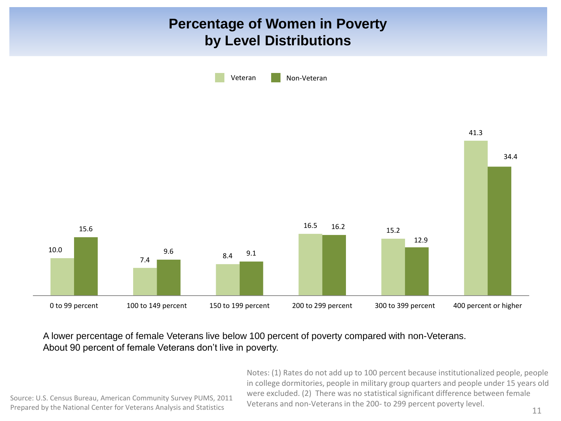### **Percentage of Women in Poverty by Level Distributions**



#### A lower percentage of female Veterans live below 100 percent of poverty compared with non-Veterans. About 90 percent of female Veterans don't live in poverty.

Notes: (1) Rates do not add up to 100 percent because institutionalized people, people in college dormitories, people in military group quarters and people under 15 years old were excluded. (2) There was no statistical significant difference between female Veterans and non-Veterans in the 200- to 299 percent poverty level.

Source: U.S. Census Bureau, American Community Survey PUMS, 2011 Prepared by the National Center for Veterans Analysis and Statistics Preterally and non-veterally in the 200-10 299 percent poverty level.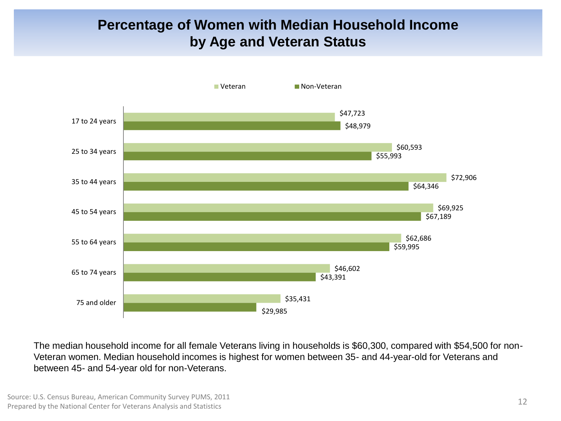### **Percentage of Women with Median Household Income by Age and Veteran Status**



The median household income for all female Veterans living in households is \$60,300, compared with \$54,500 for non-Veteran women. Median household incomes is highest for women between 35- and 44-year-old for Veterans and between 45- and 54-year old for non-Veterans.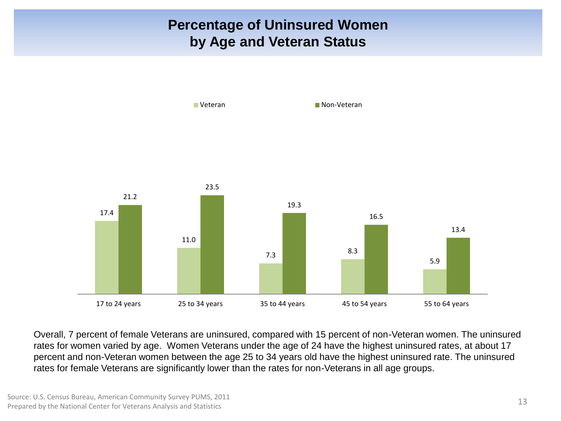### **Percentage of Uninsured Women by Age and Veteran Status**



Overall, 7 percent of female Veterans are uninsured, compared with 15 percent of non-Veteran women. The uninsured rates for women varied by age. Women Veterans under the age of 24 have the highest uninsured rates, at about 17 percent and non-Veteran women between the age 25 to 34 years old have the highest uninsured rate. The uninsured rates for female Veterans are significantly lower than the rates for non-Veterans in all age groups.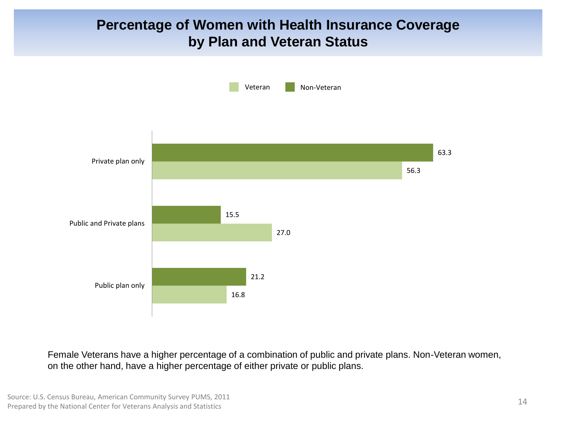#### **Percentage of Women with Health Insurance Coverage by Plan and Veteran Status**



Female Veterans have a higher percentage of a combination of public and private plans. Non-Veteran women, on the other hand, have a higher percentage of either private or public plans.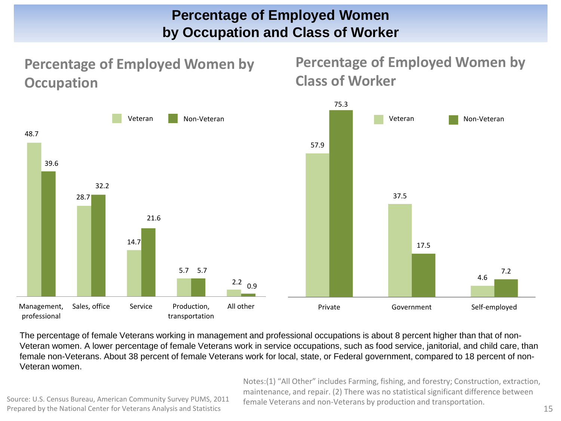#### **Percentage of Employed Women by Occupation and Class of Worker**

**Percentage of Employed Women by Occupation** 

**Percentage of Employed Women by Class of Worker** 



The percentage of female Veterans working in management and professional occupations is about 8 percent higher than that of non-Veteran women. A lower percentage of female Veterans work in service occupations, such as food service, janitorial, and child care, than female non-Veterans. About 38 percent of female Veterans work for local, state, or Federal government, compared to 18 percent of non-Veteran women.

> Notes:(1) "All Other" includes Farming, fishing, and forestry; Construction, extraction, maintenance, and repair. (2) There was no statistical significant difference between female Veterans and non-Veterans by production and transportation. 15

Source: U.S. Census Bureau, American Community Survey PUMS, 2011 Prepared by the National Center for Veterans Analysis and Statistics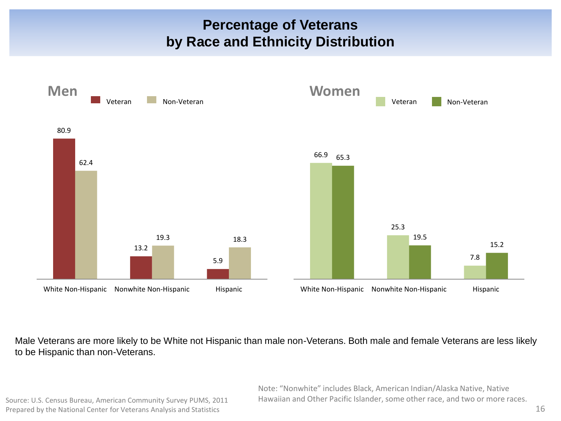#### **Percentage of Veterans by Race and Ethnicity Distribution**



Male Veterans are more likely to be White not Hispanic than male non-Veterans. Both male and female Veterans are less likely to be Hispanic than non-Veterans.

Source: U.S. Census Bureau, American Community Survey PUMS, 2011 Prepared by the National Center for Veterans Analysis and Statistics

Note: "Nonwhite" includes Black, American Indian/Alaska Native, Native Hawaiian and Other Pacific Islander, some other race, and two or more races.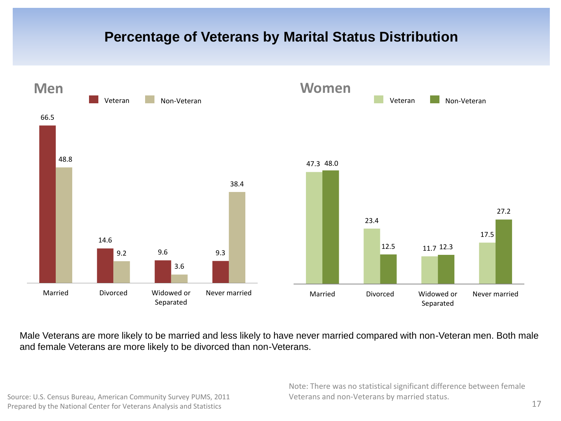### **Percentage of Veterans by Marital Status Distribution**



Male Veterans are more likely to be married and less likely to have never married compared with non-Veteran men. Both male and female Veterans are more likely to be divorced than non-Veterans.

Source: U.S. Census Bureau, American Community Survey PUMS, 2011 Prepared by the National Center for Veterans Analysis and Statistics

Note: There was no statistical significant difference between female Veterans and non-Veterans by married status.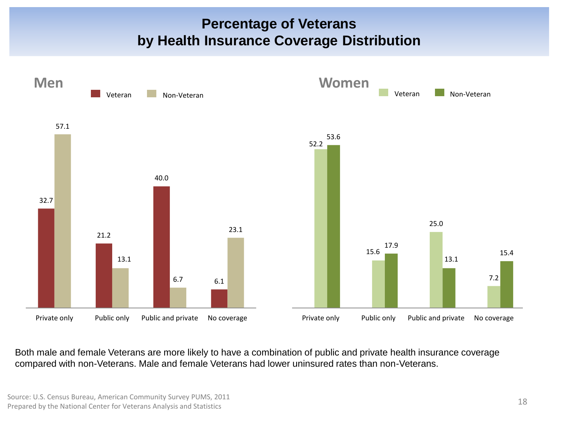#### **Percentage of Veterans by Health Insurance Coverage Distribution**



Both male and female Veterans are more likely to have a combination of public and private health insurance coverage compared with non-Veterans. Male and female Veterans had lower uninsured rates than non-Veterans.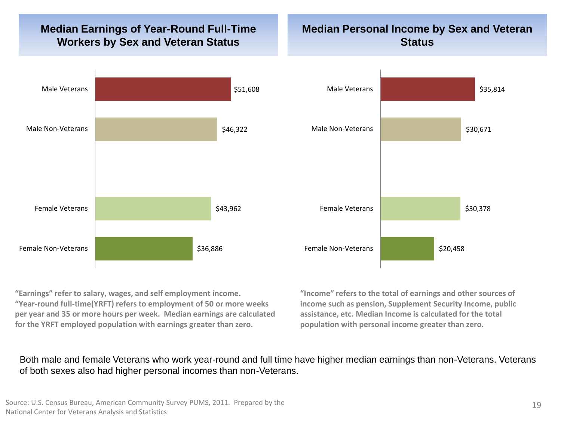#### **Median Earnings of Year-Round Full-Time Workers by Sex and Veteran Status**

#### **Median Personal Income by Sex and Veteran Status**



**"Earnings" refer to salary, wages, and self employment income. "Year-round full-time(YRFT) refers to employment of 50 or more weeks per year and 35 or more hours per week. Median earnings are calculated for the YRFT employed population with earnings greater than zero.** 

**"Income" refers to the total of earnings and other sources of income such as pension, Supplement Security Income, public assistance, etc. Median Income is calculated for the total population with personal income greater than zero.** 

Both male and female Veterans who work year-round and full time have higher median earnings than non-Veterans. Veterans of both sexes also had higher personal incomes than non-Veterans.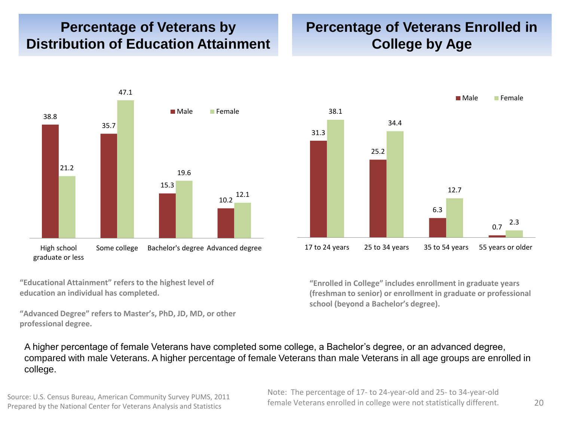#### **Percentage of Veterans by Distribution of Education Attainment**

#### **Percentage of Veterans Enrolled in College by Age**



**"Educational Attainment" refers to the highest level of education an individual has completed.** 

**"Advanced Degree" refers to Master's, PhD, JD, MD, or other professional degree.**



**"Enrolled in College" includes enrollment in graduate years (freshman to senior) or enrollment in graduate or professional school (beyond a Bachelor's degree).**

A higher percentage of female Veterans have completed some college, a Bachelor's degree, or an advanced degree, compared with male Veterans. A higher percentage of female Veterans than male Veterans in all age groups are enrolled in college.

Source: U.S. Census Bureau, American Community Survey PUMS, 2011 Prepared by the National Center for Veterans Analysis and Statistics

Note: The percentage of 17- to 24-year-old and 25- to 34-year-old female Veterans enrolled in college were not statistically different.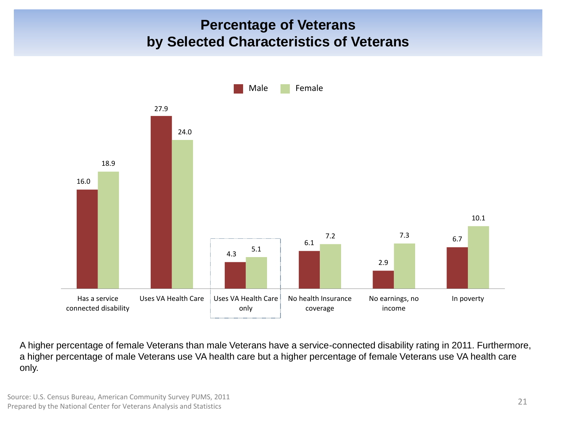### **Percentage of Veterans by Selected Characteristics of Veterans**



A higher percentage of female Veterans than male Veterans have a service-connected disability rating in 2011. Furthermore, a higher percentage of male Veterans use VA health care but a higher percentage of female Veterans use VA health care only.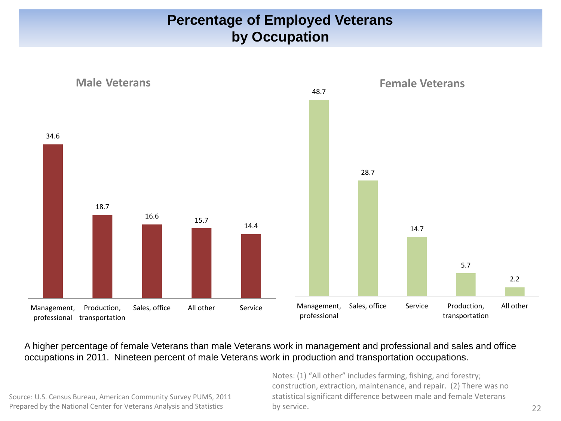### **Percentage of Employed Veterans by Occupation**



#### A higher percentage of female Veterans than male Veterans work in management and professional and sales and office occupations in 2011. Nineteen percent of male Veterans work in production and transportation occupations.

Source: U.S. Census Bureau, American Community Survey PUMS, 2011 Prepared by the National Center for Veterans Analysis and Statistics

Notes: (1) "All other" includes farming, fishing, and forestry; construction, extraction, maintenance, and repair. (2) There was no statistical significant difference between male and female Veterans by service.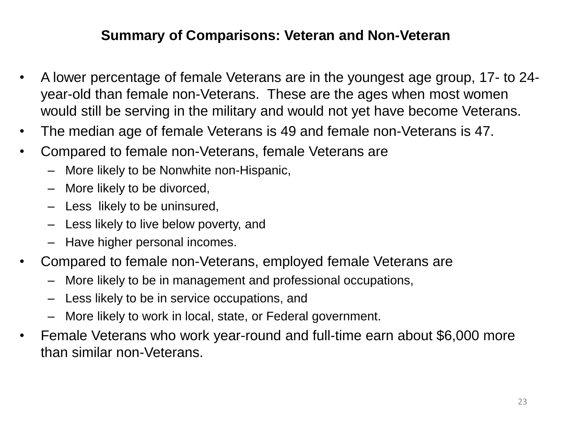### **Summary of Comparisons: Veteran and Non-Veteran**

- A lower percentage of female Veterans are in the youngest age group, 17- to 24 year-old than female non-Veterans. These are the ages when most women would still be serving in the military and would not yet have become Veterans.
- The median age of female Veterans is 49 and female non-Veterans is 47.
- Compared to female non-Veterans, female Veterans are
	- More likely to be Nonwhite non-Hispanic,
	- More likely to be divorced,
	- Less likely to be uninsured,
	- Less likely to live below poverty, and
	- Have higher personal incomes.
- Compared to female non-Veterans, employed female Veterans are
	- More likely to be in management and professional occupations,
	- Less likely to be in service occupations, and
	- More likely to work in local, state, or Federal government.
- Female Veterans who work year-round and full-time earn about \$6,000 more than similar non-Veterans.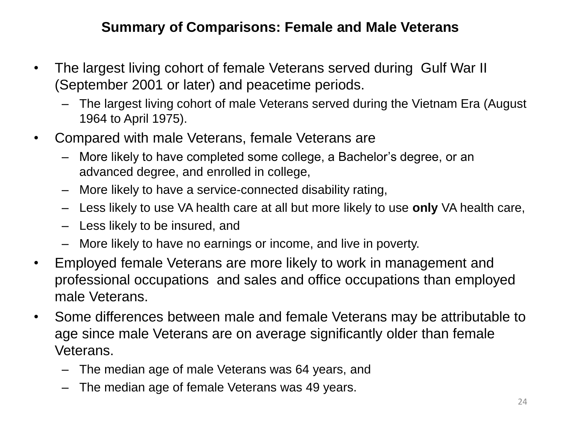## **Summary of Comparisons: Female and Male Veterans**

- The largest living cohort of female Veterans served during Gulf War II (September 2001 or later) and peacetime periods.
	- The largest living cohort of male Veterans served during the Vietnam Era (August 1964 to April 1975).
- Compared with male Veterans, female Veterans are
	- More likely to have completed some college, a Bachelor's degree, or an advanced degree, and enrolled in college,
	- More likely to have a service-connected disability rating,
	- Less likely to use VA health care at all but more likely to use **only** VA health care,
	- Less likely to be insured, and
	- More likely to have no earnings or income, and live in poverty.
- Employed female Veterans are more likely to work in management and professional occupations and sales and office occupations than employed male Veterans.
- Some differences between male and female Veterans may be attributable to age since male Veterans are on average significantly older than female Veterans.
	- The median age of male Veterans was 64 years, and
	- The median age of female Veterans was 49 years.